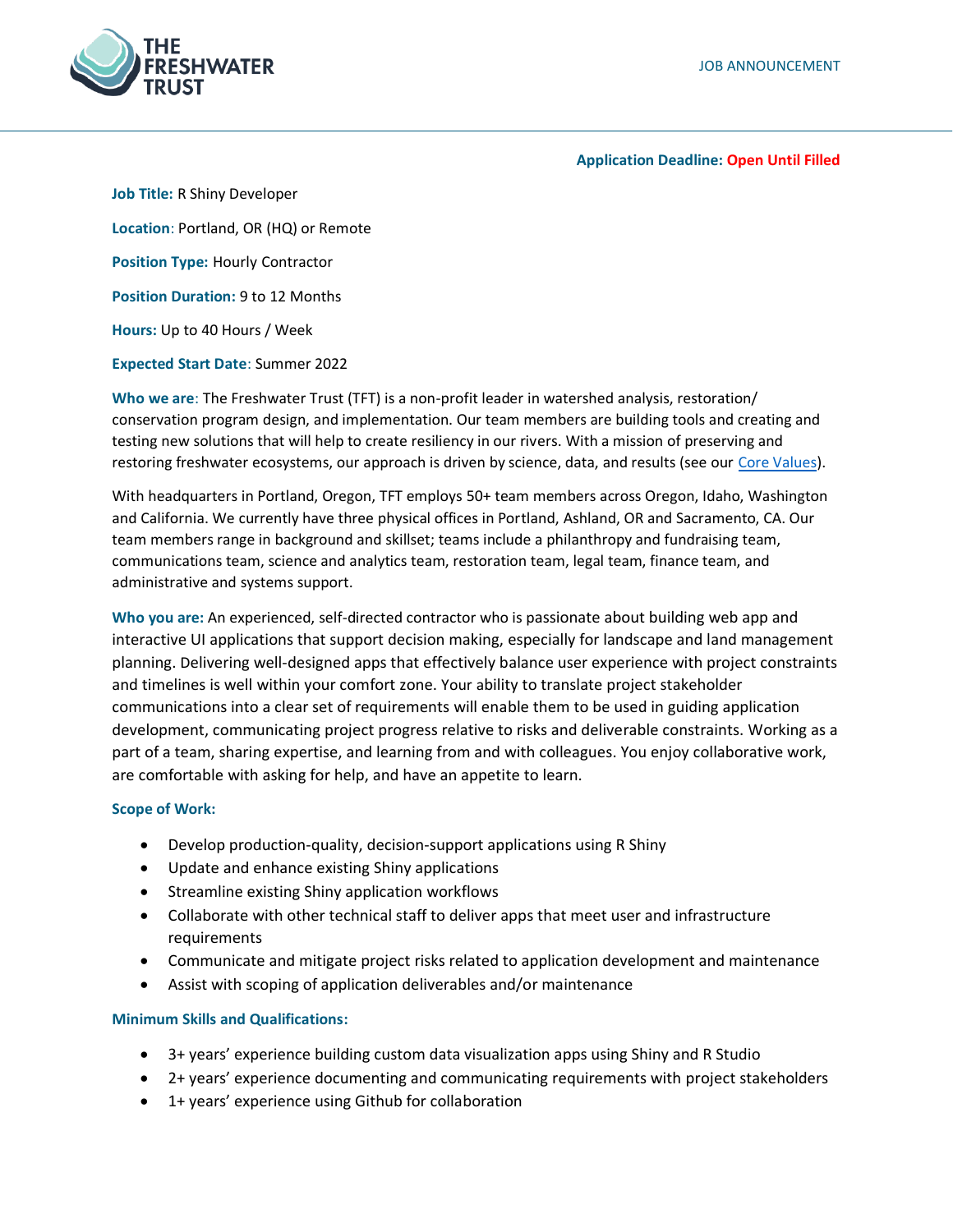

#### **Application Deadline: Open Until Filled**

**Job Title:** R Shiny Developer **Location**: Portland, OR (HQ) or Remote **Position Type:** Hourly Contractor **Position Duration:** 9 to 12 Months **Hours:** Up to 40 Hours / Week **Expected Start Date**: Summer 2022

**Who we are**: The Freshwater Trust (TFT) is a non-profit leader in watershed analysis, restoration/ conservation program design, and implementation. Our team members are building tools and creating and testing new solutions that will help to create resiliency in our rivers. With a mission of preserving and restoring freshwater ecosystems, our approach is driven by science, data, and results (see our [Core Values\)](https://www.thefreshwatertrust.org/about-us/core-values/).

With headquarters in Portland, Oregon, TFT employs 50+ team members across Oregon, Idaho, Washington and California. We currently have three physical offices in Portland, Ashland, OR and Sacramento, CA. Our team members range in background and skillset; teams include a philanthropy and fundraising team, communications team, science and analytics team, restoration team, legal team, finance team, and administrative and systems support.

**Who you are:** An experienced, self-directed contractor who is passionate about building web app and interactive UI applications that support decision making, especially for landscape and land management planning. Delivering well-designed apps that effectively balance user experience with project constraints and timelines is well within your comfort zone. Your ability to translate project stakeholder communications into a clear set of requirements will enable them to be used in guiding application development, communicating project progress relative to risks and deliverable constraints. Working as a part of a team, sharing expertise, and learning from and with colleagues. You enjoy collaborative work, are comfortable with asking for help, and have an appetite to learn.

### **Scope of Work:**

- Develop production-quality, decision-support applications using R Shiny
- Update and enhance existing Shiny applications
- Streamline existing Shiny application workflows
- Collaborate with other technical staff to deliver apps that meet user and infrastructure requirements
- Communicate and mitigate project risks related to application development and maintenance
- Assist with scoping of application deliverables and/or maintenance

### **Minimum Skills and Qualifications:**

- 3+ years' experience building custom data visualization apps using Shiny and R Studio
- 2+ years' experience documenting and communicating requirements with project stakeholders
- 1+ years' experience using Github for collaboration